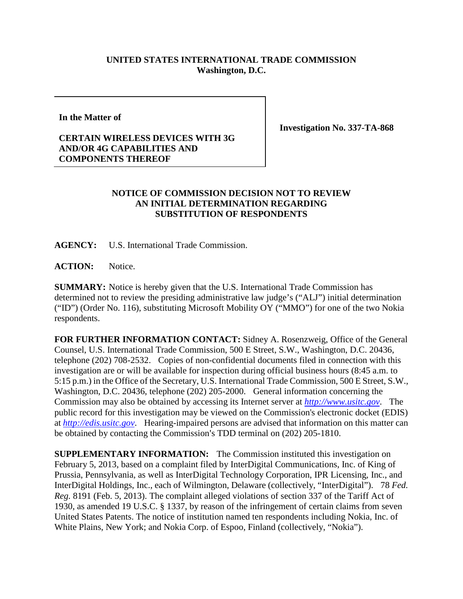## **UNITED STATES INTERNATIONAL TRADE COMMISSION Washington, D.C.**

**In the Matter of**

**Investigation No. 337-TA-868**

## **CERTAIN WIRELESS DEVICES WITH 3G AND/OR 4G CAPABILITIES AND COMPONENTS THEREOF**

## **NOTICE OF COMMISSION DECISION NOT TO REVIEW AN INITIAL DETERMINATION REGARDING SUBSTITUTION OF RESPONDENTS**

**AGENCY:** U.S. International Trade Commission.

ACTION: Notice.

**SUMMARY:** Notice is hereby given that the U.S. International Trade Commission has determined not to review the presiding administrative law judge's ("ALJ") initial determination ("ID") (Order No. 116), substituting Microsoft Mobility OY ("MMO") for one of the two Nokia respondents.

**FOR FURTHER INFORMATION CONTACT:** Sidney A. Rosenzweig, Office of the General Counsel, U.S. International Trade Commission, 500 E Street, S.W., Washington, D.C. 20436, telephone (202) 708-2532. Copies of non-confidential documents filed in connection with this investigation are or will be available for inspection during official business hours (8:45 a.m. to 5:15 p.m.) in the Office of the Secretary, U.S. International Trade Commission, 500 E Street, S.W., Washington, D.C. 20436, telephone (202) 205-2000. General information concerning the Commission may also be obtained by accessing its Internet server at *[http://www.usitc.gov](http://www.usitc.gov/)*. The public record for this investigation may be viewed on the Commission's electronic docket (EDIS) at *[http://edis.usitc.gov](http://edis.usitc.gov/)*. Hearing-impaired persons are advised that information on this matter can be obtained by contacting the Commission's TDD terminal on (202) 205-1810.

**SUPPLEMENTARY INFORMATION:** The Commission instituted this investigation on February 5, 2013, based on a complaint filed by InterDigital Communications, Inc. of King of Prussia, Pennsylvania, as well as InterDigital Technology Corporation, IPR Licensing, Inc., and InterDigital Holdings, Inc., each of Wilmington, Delaware (collectively, "InterDigital"). 78 *Fed. Reg.* 8191 (Feb. 5, 2013). The complaint alleged violations of section 337 of the Tariff Act of 1930, as amended 19 U.S.C. § 1337, by reason of the infringement of certain claims from seven United States Patents. The notice of institution named ten respondents including Nokia, Inc. of White Plains, New York; and Nokia Corp. of Espoo, Finland (collectively, "Nokia").